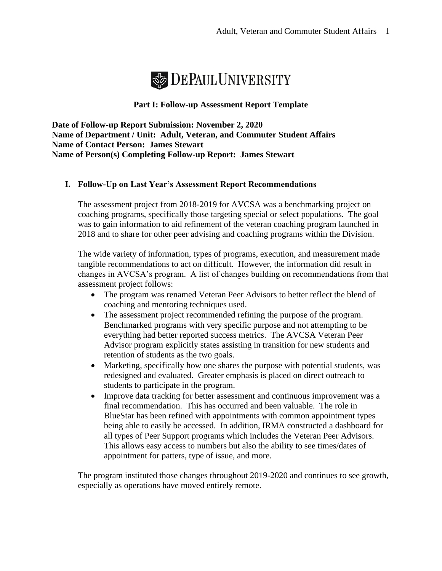

# **Part I: Follow-up Assessment Report Template**

**Date of Follow-up Report Submission: November 2, 2020 Name of Department / Unit: Adult, Veteran, and Commuter Student Affairs Name of Contact Person: James Stewart Name of Person(s) Completing Follow-up Report: James Stewart**

## **I. Follow-Up on Last Year's Assessment Report Recommendations**

The assessment project from 2018-2019 for AVCSA was a benchmarking project on coaching programs, specifically those targeting special or select populations. The goal was to gain information to aid refinement of the veteran coaching program launched in 2018 and to share for other peer advising and coaching programs within the Division.

The wide variety of information, types of programs, execution, and measurement made tangible recommendations to act on difficult. However, the information did result in changes in AVCSA's program. A list of changes building on recommendations from that assessment project follows:

- The program was renamed Veteran Peer Advisors to better reflect the blend of coaching and mentoring techniques used.
- The assessment project recommended refining the purpose of the program. Benchmarked programs with very specific purpose and not attempting to be everything had better reported success metrics. The AVCSA Veteran Peer Advisor program explicitly states assisting in transition for new students and retention of students as the two goals.
- Marketing, specifically how one shares the purpose with potential students, was redesigned and evaluated. Greater emphasis is placed on direct outreach to students to participate in the program.
- Improve data tracking for better assessment and continuous improvement was a final recommendation. This has occurred and been valuable. The role in BlueStar has been refined with appointments with common appointment types being able to easily be accessed. In addition, IRMA constructed a dashboard for all types of Peer Support programs which includes the Veteran Peer Advisors. This allows easy access to numbers but also the ability to see times/dates of appointment for patters, type of issue, and more.

The program instituted those changes throughout 2019-2020 and continues to see growth, especially as operations have moved entirely remote.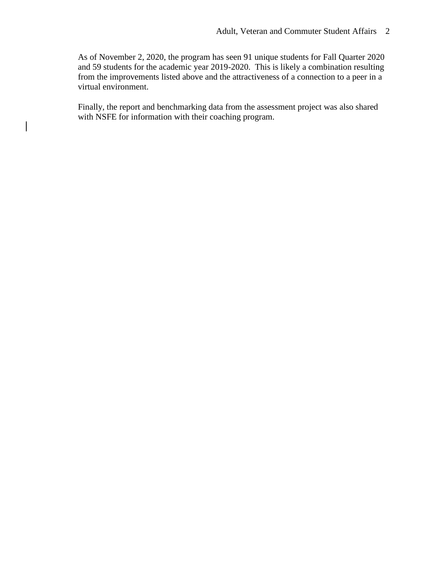As of November 2, 2020, the program has seen 91 unique students for Fall Quarter 2020 and 59 students for the academic year 2019-2020. This is likely a combination resulting from the improvements listed above and the attractiveness of a connection to a peer in a virtual environment.

Finally, the report and benchmarking data from the assessment project was also shared with NSFE for information with their coaching program.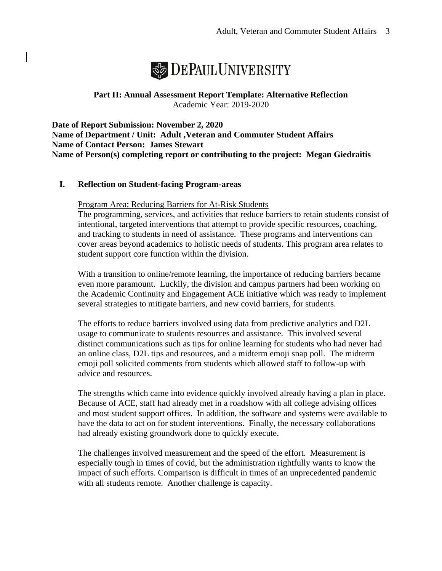

**Part II: Annual Assessment Report Template: Alternative Reflection** Academic Year: 2019-2020

**Date of Report Submission: November 2, 2020 Name of Department / Unit: Adult ,Veteran and Commuter Student Affairs Name of Contact Person: James Stewart Name of Person(s) completing report or contributing to the project: Megan Giedraitis** 

## **I. Reflection on Student-facing Program-areas**

#### Program Area: Reducing Barriers for At-Risk Students

The programming, services, and activities that reduce barriers to retain students consist of intentional, targeted interventions that attempt to provide specific resources, coaching, and tracking to students in need of assistance. These programs and interventions can cover areas beyond academics to holistic needs of students. This program area relates to student support core function within the division.

With a transition to online/remote learning, the importance of reducing barriers became even more paramount. Luckily, the division and campus partners had been working on the Academic Continuity and Engagement ACE initiative which was ready to implement several strategies to mitigate barriers, and new covid barriers, for students.

The efforts to reduce barriers involved using data from predictive analytics and D2L usage to communicate to students resources and assistance. This involved several distinct communications such as tips for online learning for students who had never had an online class, D2L tips and resources, and a midterm emoji snap poll. The midterm emoji poll solicited comments from students which allowed staff to follow-up with advice and resources.

The strengths which came into evidence quickly involved already having a plan in place. Because of ACE, staff had already met in a roadshow with all college advising offices and most student support offices. In addition, the software and systems were available to have the data to act on for student interventions. Finally, the necessary collaborations had already existing groundwork done to quickly execute.

The challenges involved measurement and the speed of the effort. Measurement is especially tough in times of covid, but the administration rightfully wants to know the impact of such efforts. Comparison is difficult in times of an unprecedented pandemic with all students remote. Another challenge is capacity.